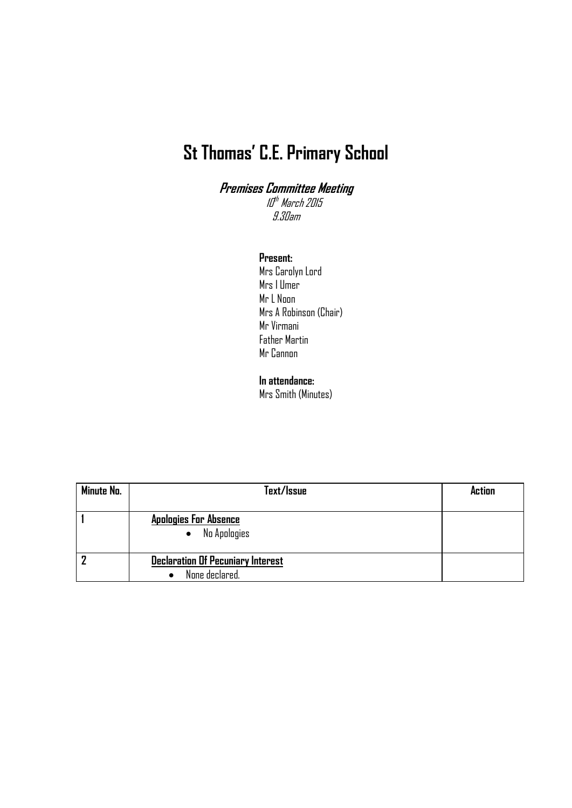## **St Thomas' C.E. Primary School**

**Premises Committee Meeting** III<sup>th</sup> March 2015 9.30am

## **Present:**

Mrs Carolyn Lord Mrs I Umer Mr L Noon Mrs A Robinson (Chair) Mr Virmani Father Martin Mr Cannon

## **In attendance:**

Mrs Smith (Minutes)

| Minute No. | Text/Issue                                                 | Action |
|------------|------------------------------------------------------------|--------|
|            | <b>Apologies For Absence</b><br>No Apologies<br>$\bullet$  |        |
|            | <b>Declaration Of Pecuniary Interest</b><br>None declared. |        |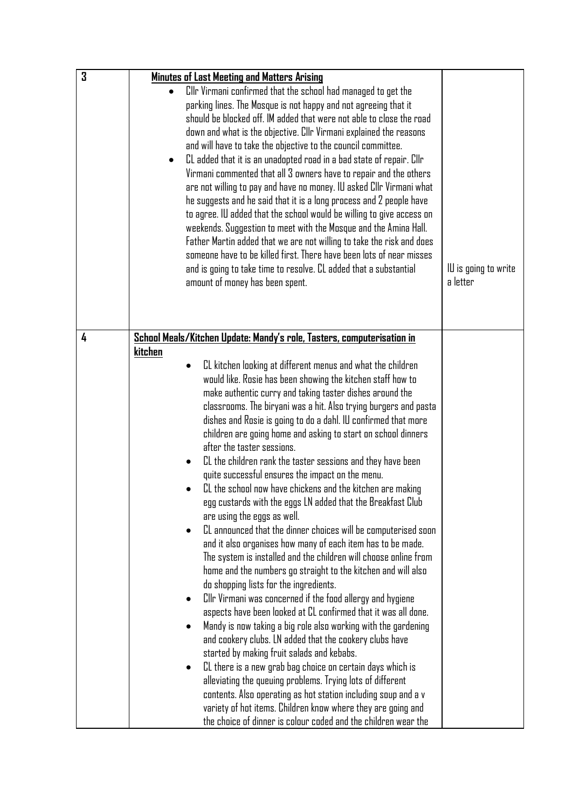| 3 | Minutes of Last Meeting and Matters Arising                                                                                                                                                                                                                                                                                                                                                                                                                                                                                                                                                                                                                                                                                                                                                                                                                                                                                                                                                                                                                    |                                  |
|---|----------------------------------------------------------------------------------------------------------------------------------------------------------------------------------------------------------------------------------------------------------------------------------------------------------------------------------------------------------------------------------------------------------------------------------------------------------------------------------------------------------------------------------------------------------------------------------------------------------------------------------------------------------------------------------------------------------------------------------------------------------------------------------------------------------------------------------------------------------------------------------------------------------------------------------------------------------------------------------------------------------------------------------------------------------------|----------------------------------|
|   | Cllr Virmani confirmed that the school had managed to get the<br>parking lines. The Mosque is not happy and not agreeing that it<br>should be blocked off. IM added that were not able to close the road<br>down and what is the objective. Cllr Virmani explained the reasons<br>and will have to take the objective to the council committee.<br>CL added that it is an unadopted road in a bad state of repair. Cllr<br>$\bullet$<br>Virmani commented that all 3 owners have to repair and the others<br>are not willing to pay and have no money. IU asked Cllr Virmani what<br>he suggests and he said that it is a long process and 2 people have<br>to agree. IU added that the school would be willing to give access on<br>weekends. Suggestion to meet with the Mosque and the Amina Hall.<br>Father Martin added that we are not willing to take the risk and does<br>someone have to be killed first. There have been lots of near misses<br>and is going to take time to resolve. CL added that a substantial<br>amount of money has been spent. | IU is going to write<br>a letter |
| 4 | School Meals/Kitchen Update: Mandy's role, Tasters, computerisation in                                                                                                                                                                                                                                                                                                                                                                                                                                                                                                                                                                                                                                                                                                                                                                                                                                                                                                                                                                                         |                                  |
|   | kitchen                                                                                                                                                                                                                                                                                                                                                                                                                                                                                                                                                                                                                                                                                                                                                                                                                                                                                                                                                                                                                                                        |                                  |
|   | CL kitchen looking at different menus and what the children<br>would like. Rosie has been showing the kitchen staff how to<br>make authentic curry and taking taster dishes around the<br>classrooms. The biryani was a hit. Also trying burgers and pasta<br>dishes and Rosie is going to do a dahl. IU confirmed that more<br>children are going home and asking to start on school dinners<br>after the taster sessions.<br>CL the children rank the taster sessions and they have been<br>quite successful ensures the impact on the menu.<br>CL the school now have chickens and the kitchen are making<br>egg custards with the eggs LN added that the Breakfast Club<br>are using the eggs as well.                                                                                                                                                                                                                                                                                                                                                     |                                  |
|   | CL announced that the dinner choices will be computerised soon<br>and it also organises how many of each item has to be made.<br>The system is installed and the children will choose online from<br>home and the numbers go straight to the kitchen and will also<br>do shopping lists for the ingredients.                                                                                                                                                                                                                                                                                                                                                                                                                                                                                                                                                                                                                                                                                                                                                   |                                  |
|   | Cllr Virmani was concerned if the food allergy and hygiene                                                                                                                                                                                                                                                                                                                                                                                                                                                                                                                                                                                                                                                                                                                                                                                                                                                                                                                                                                                                     |                                  |
|   | aspects have been looked at CL confirmed that it was all done.<br>Mandy is now taking a big role also working with the gardening                                                                                                                                                                                                                                                                                                                                                                                                                                                                                                                                                                                                                                                                                                                                                                                                                                                                                                                               |                                  |
|   | and cookery clubs. LN added that the cookery clubs have                                                                                                                                                                                                                                                                                                                                                                                                                                                                                                                                                                                                                                                                                                                                                                                                                                                                                                                                                                                                        |                                  |
|   | started by making fruit salads and kebabs.                                                                                                                                                                                                                                                                                                                                                                                                                                                                                                                                                                                                                                                                                                                                                                                                                                                                                                                                                                                                                     |                                  |
|   | CL there is a new grab bag choice on certain days which is<br>alleviating the queuing problems. Trying lots of different                                                                                                                                                                                                                                                                                                                                                                                                                                                                                                                                                                                                                                                                                                                                                                                                                                                                                                                                       |                                  |
|   | contents. Also operating as hot station including soup and a v                                                                                                                                                                                                                                                                                                                                                                                                                                                                                                                                                                                                                                                                                                                                                                                                                                                                                                                                                                                                 |                                  |
|   | variety of hot items. Children know where they are going and                                                                                                                                                                                                                                                                                                                                                                                                                                                                                                                                                                                                                                                                                                                                                                                                                                                                                                                                                                                                   |                                  |
|   | the choice of dinner is colour coded and the children wear the                                                                                                                                                                                                                                                                                                                                                                                                                                                                                                                                                                                                                                                                                                                                                                                                                                                                                                                                                                                                 |                                  |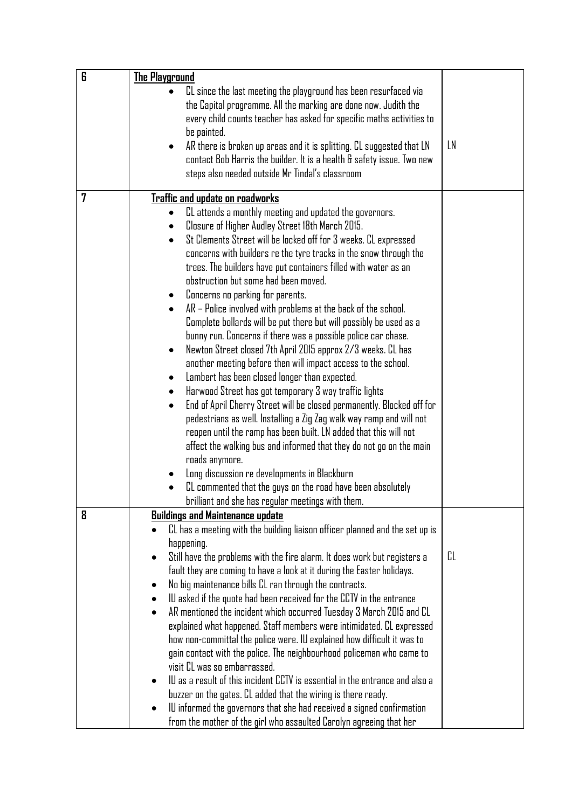| 6 | The Playground                                                                                                                                                   |    |
|---|------------------------------------------------------------------------------------------------------------------------------------------------------------------|----|
|   | CL since the last meeting the playground has been resurfaced via                                                                                                 |    |
|   | the Capital programme. All the marking are done now. Judith the                                                                                                  |    |
|   | every child counts teacher has asked for specific maths activities to                                                                                            |    |
|   | be painted.                                                                                                                                                      |    |
|   | AR there is broken up areas and it is splitting. CL suggested that LN<br>$\bullet$                                                                               | LN |
|   | contact Bob Harris the builder. It is a health & safety issue. Two new                                                                                           |    |
|   | steps also needed outside Mr Tindal's classroom                                                                                                                  |    |
| 7 |                                                                                                                                                                  |    |
|   | Traffic and update on roadworks<br>CL attends a monthly meeting and updated the governors.                                                                       |    |
|   | Closure of Higher Audley Street 18th March 2015.<br>$\bullet$                                                                                                    |    |
|   | St Clements Street will be locked off for 3 weeks. CL expressed<br>$\bullet$                                                                                     |    |
|   | concerns with builders re the tyre tracks in the snow through the                                                                                                |    |
|   | trees. The builders have put containers filled with water as an                                                                                                  |    |
|   | obstruction but some had been moved.                                                                                                                             |    |
|   | Concerns no parking for parents.                                                                                                                                 |    |
|   | AR - Police involved with problems at the back of the school.                                                                                                    |    |
|   | Complete bollards will be put there but will possibly be used as a                                                                                               |    |
|   | bunny run. Concerns if there was a possible police car chase.                                                                                                    |    |
|   | Newton Street closed 7th April 2015 approx 2/3 weeks. CL has<br>$\bullet$                                                                                        |    |
|   | another meeting before then will impact access to the school.                                                                                                    |    |
|   | Lambert has been closed longer than expected.<br>$\bullet$                                                                                                       |    |
|   | Harwood Street has got temporary 3 way traffic lights<br>٠                                                                                                       |    |
|   | End of April Cherry Street will be closed permanently. Blocked off for<br>$\bullet$                                                                              |    |
|   | pedestrians as well. Installing a Zig Zag walk way ramp and will not                                                                                             |    |
|   | reopen until the ramp has been built. LN added that this will not                                                                                                |    |
|   | affect the walking bus and informed that they do not go on the main                                                                                              |    |
|   | roads anymore.                                                                                                                                                   |    |
|   | Long discussion re developments in Blackburn                                                                                                                     |    |
|   | CL commented that the guys on the road have been absolutely                                                                                                      |    |
|   | brilliant and she has regular meetings with them.                                                                                                                |    |
| 8 | <b>Buildings and Maintenance update</b>                                                                                                                          |    |
|   | CL has a meeting with the building liaison officer planned and the set up is                                                                                     |    |
|   | happening.                                                                                                                                                       | CL |
|   | Still have the problems with the fire alarm. It does work but registers a<br>$\bullet$<br>fault they are coming to have a look at it during the Easter holidays. |    |
|   | No big maintenance bills CL ran through the contracts.<br>$\bullet$                                                                                              |    |
|   | IU asked if the quote had been received for the CCTV in the entrance<br>٠                                                                                        |    |
|   | AR mentioned the incident which occurred Tuesday 3 March 2015 and CL<br>$\bullet$                                                                                |    |
|   | explained what happened. Staff members were intimidated. CL expressed                                                                                            |    |
|   | how non-committal the police were. IU explained how difficult it was to                                                                                          |    |
|   | gain contact with the police. The neighbourhood policeman who came to                                                                                            |    |
|   | visit CL was so embarrassed.                                                                                                                                     |    |
|   | IU as a result of this incident CCTV is essential in the entrance and also a<br>$\bullet$                                                                        |    |
|   | buzzer on the gates. CL added that the wiring is there ready.                                                                                                    |    |
|   | IU informed the governors that she had received a signed confirmation                                                                                            |    |
|   | from the mother of the girl who assaulted Carolyn agreeing that her                                                                                              |    |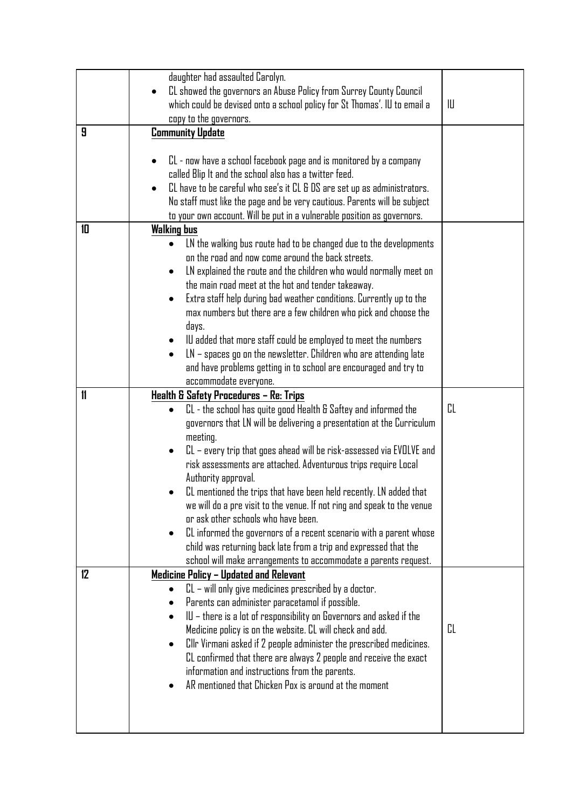|               | daughter had assaulted Carolyn.<br>CL showed the governors an Abuse Policy from Surrey County Council<br>which could be devised onto a school policy for St Thomas'. IU to email a<br>copy to the governors.                                                                                                                                                                                                                                                                                                                                                                                                                                                                                                                            | IU |
|---------------|-----------------------------------------------------------------------------------------------------------------------------------------------------------------------------------------------------------------------------------------------------------------------------------------------------------------------------------------------------------------------------------------------------------------------------------------------------------------------------------------------------------------------------------------------------------------------------------------------------------------------------------------------------------------------------------------------------------------------------------------|----|
| 9             | <b>Community Update</b>                                                                                                                                                                                                                                                                                                                                                                                                                                                                                                                                                                                                                                                                                                                 |    |
|               | CL - now have a school facebook page and is monitored by a company<br>called Blip It and the school also has a twitter feed.<br>CL have to be careful who see's it CL & DS are set up as administrators.<br>No staff must like the page and be very cautious. Parents will be subject<br>to your own account. Will be put in a vulnerable position as governors.                                                                                                                                                                                                                                                                                                                                                                        |    |
| 10            | <b>Walking bus</b>                                                                                                                                                                                                                                                                                                                                                                                                                                                                                                                                                                                                                                                                                                                      |    |
|               | LN the walking bus route had to be changed due to the developments<br>on the road and now come around the back streets.<br>LN explained the route and the children who would normally meet on<br>$\bullet$<br>the main road meet at the hot and tender takeaway.<br>Extra staff help during bad weather conditions. Currently up to the<br>٠<br>max numbers but there are a few children who pick and choose the<br>days.<br>IU added that more staff could be employed to meet the numbers<br>$LN$ – spaces go on the newsletter. Children who are attending late<br>$\bullet$<br>and have problems getting in to school are encouraged and try to<br>accommodate everyone.                                                            |    |
| $\mathbf{11}$ | Health & Safety Procedures - Re: Trips                                                                                                                                                                                                                                                                                                                                                                                                                                                                                                                                                                                                                                                                                                  |    |
|               | CL - the school has quite good Health & Saftey and informed the<br>governors that LN will be delivering a presentation at the Curriculum<br>meeting.<br>CL – every trip that goes ahead will be risk-assessed via EVOLVE and<br>$\bullet$<br>risk assessments are attached. Adventurous trips require Local<br>Authority approval.<br>CL mentioned the trips that have been held recently. LN added that<br>we will do a pre visit to the venue. If not ring and speak to the venue<br>or ask other schools who have been.<br>CL informed the governors of a recent scenario with a parent whose<br>child was returning back late from a trip and expressed that the<br>school will make arrangements to accommodate a parents request. | CL |
| 12            | Medicine Policy - Updated and Relevant                                                                                                                                                                                                                                                                                                                                                                                                                                                                                                                                                                                                                                                                                                  |    |
|               | CL – will only give medicines prescribed by a doctor.<br>Parents can administer paracetamol if possible.<br>IU – there is a lot of responsibility on Governors and asked if the<br>Medicine policy is on the website. CL will check and add.<br>Cllr Virmani asked if 2 people administer the prescribed medicines.<br>CL confirmed that there are always 2 people and receive the exact<br>information and instructions from the parents.<br>AR mentioned that Chicken Pox is around at the moment                                                                                                                                                                                                                                     | CL |
|               |                                                                                                                                                                                                                                                                                                                                                                                                                                                                                                                                                                                                                                                                                                                                         |    |